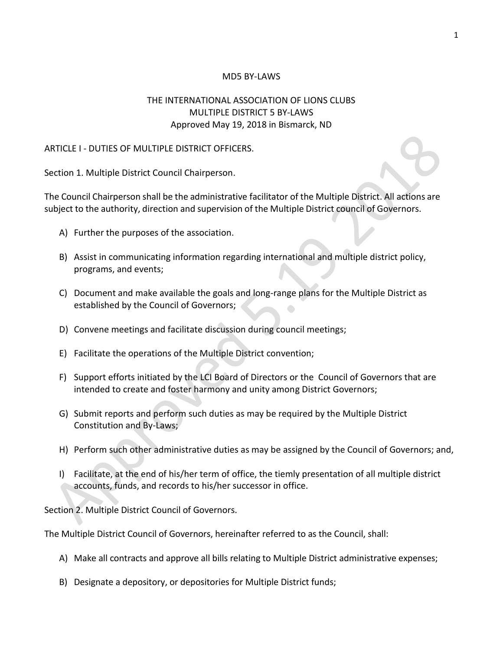### MD5 BY-LAWS

# THE INTERNATIONAL ASSOCIATION OF LIONS CLUBS MULTIPLE DISTRICT 5 BY-LAWS Approved May 19, 2018 in Bismarck, ND

#### ARTICLE I - DUTIES OF MULTIPLE DISTRICT OFFICERS.

Section 1. Multiple District Council Chairperson.

The Council Chairperson shall be the administrative facilitator of the Multiple District. All actions are subject to the authority, direction and supervision of the Multiple District council of Governors.

- A) Further the purposes of the association.
- B) Assist in communicating information regarding international and multiple district policy, programs, and events;
- C) Document and make available the goals and long-range plans for the Multiple District as established by the Council of Governors;
- D) Convene meetings and facilitate discussion during council meetings;
- E) Facilitate the operations of the Multiple District convention;
- F) Support efforts initiated by the LCI Board of Directors or the Council of Governors that are intended to create and foster harmony and unity among District Governors;
- G) Submit reports and perform such duties as may be required by the Multiple District Constitution and By-Laws;
- H) Perform such other administrative duties as may be assigned by the Council of Governors; and,
- I) Facilitate, at the end of his/her term of office, the tiemly presentation of all multiple district accounts, funds, and records to his/her successor in office.

Section 2. Multiple District Council of Governors.

The Multiple District Council of Governors, hereinafter referred to as the Council, shall:

- A) Make all contracts and approve all bills relating to Multiple District administrative expenses;
- B) Designate a depository, or depositories for Multiple District funds;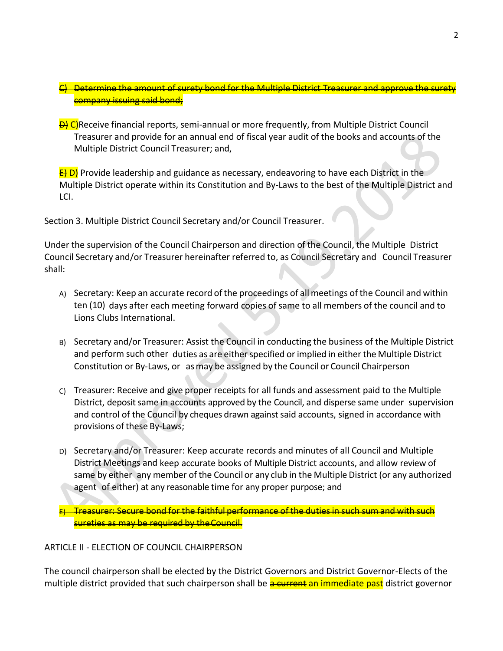- C) Determine the amount of surety bond for the Multiple District Treasurer and approve the surety company issuing said bond;
- **D)** C)Receive financial reports, semi-annual or more frequently, from Multiple District Council Treasurer and provide for an annual end of fiscal year audit of the books and accounts of the Multiple District Council Treasurer; and,

 $\overline{E}$  D) Provide leadership and guidance as necessary, endeavoring to have each District in the Multiple District operate within its Constitution and By-Laws to the best of the Multiple District and LCI.

Section 3. Multiple District Council Secretary and/or Council Treasurer.

Under the supervision of the Council Chairperson and direction of the Council, the Multiple District Council Secretary and/or Treasurer hereinafter referred to, as Council Secretary and Council Treasurer shall:

- A) Secretary: Keep an accurate record ofthe proceedings of all meetings of the Council and within ten (10) days after each meeting forward copies of same to all members of the council and to Lions Clubs International.
- B) Secretary and/or Treasurer: Assist the Council in conducting the business of the Multiple District and perform such other duties as are either specified or implied in either the Multiple District Constitution or By-Laws, or asmay be assigned by the Council or Council Chairperson
- C) Treasurer: Receive and give proper receipts for all funds and assessment paid to the Multiple District, deposit same in accounts approved by the Council, and disperse same under supervision and control of the Council by cheques drawn against said accounts, signed in accordance with provisions of these By-Laws;
- D) Secretary and/or Treasurer: Keep accurate records and minutes of all Council and Multiple District Meetings and keep accurate books of Multiple District accounts, and allow review of same by either any member of the Council or any club in the Multiple District (or any authorized agent of either) at any reasonable time for any proper purpose; and

 $E$ ) Treasurer: Secure bond for the faithful performance of the duties in such sum and with such sureties as may be required by theCouncil.

## ARTICLE II - ELECTION OF COUNCIL CHAIRPERSON

The council chairperson shall be elected by the District Governors and District Governor-Elects of the multiple district provided that such chairperson shall be a current an immediate past district governor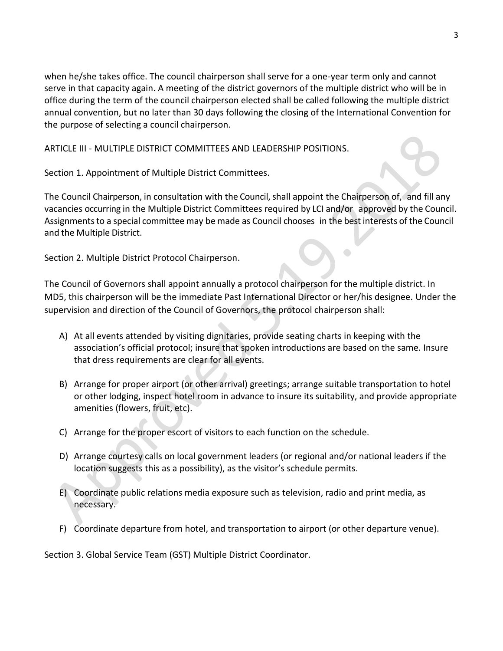when he/she takes office. The council chairperson shall serve for a one-year term only and cannot serve in that capacity again. A meeting of the district governors of the multiple district who will be in office during the term of the council chairperson elected shall be called following the multiple district annual convention, but no later than 30 days following the closing of the International Convention for the purpose of selecting a council chairperson.

ARTICLE III - MULTIPLE DISTRICT COMMITTEES AND LEADERSHIP POSITIONS.

Section 1. Appointment of Multiple District Committees.

The Council Chairperson, in consultation with the Council, shall appoint the Chairperson of, and fill any vacancies occurring in the Multiple District Committees required by LCI and/or approved by the Council. Assignments to a special committee may be made as Council chooses in the best interests of the Council and the Multiple District.

 $\bullet$ 

Section 2. Multiple District Protocol Chairperson.

The Council of Governors shall appoint annually a protocol chairperson for the multiple district. In MD5, this chairperson will be the immediate Past International Director or her/his designee. Under the supervision and direction of the Council of Governors, the protocol chairperson shall:

- A) At all events attended by visiting dignitaries, provide seating charts in keeping with the association's official protocol; insure that spoken introductions are based on the same. Insure that dress requirements are clear for all events.
- B) Arrange for proper airport (or other arrival) greetings; arrange suitable transportation to hotel or other lodging, inspect hotel room in advance to insure its suitability, and provide appropriate amenities (flowers, fruit, etc).
- C) Arrange for the proper escort of visitors to each function on the schedule.
- D) Arrange courtesy calls on local government leaders (or regional and/or national leaders if the location suggests this as a possibility), as the visitor's schedule permits.
- E) Coordinate public relations media exposure such as television, radio and print media, as necessary.
- F) Coordinate departure from hotel, and transportation to airport (or other departure venue).

Section 3. Global Service Team (GST) Multiple District Coordinator.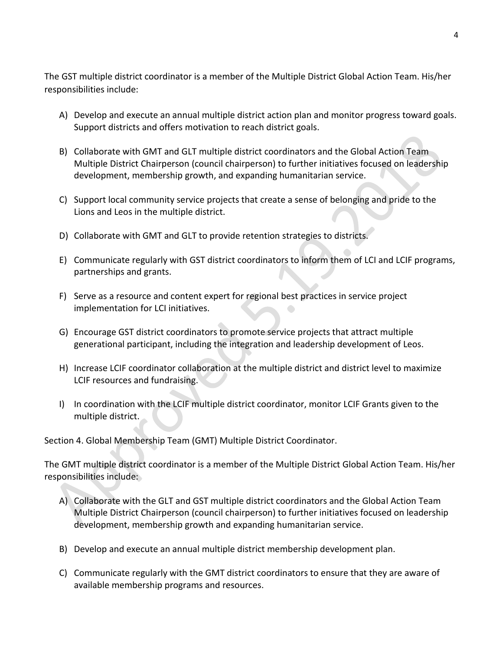The GST multiple district coordinator is a member of the Multiple District Global Action Team. His/her responsibilities include:

- A) Develop and execute an annual multiple district action plan and monitor progress toward goals. Support districts and offers motivation to reach district goals.
- B) Collaborate with GMT and GLT multiple district coordinators and the Global Action Team Multiple District Chairperson (council chairperson) to further initiatives focused on leadership development, membership growth, and expanding humanitarian service.
- C) Support local community service projects that create a sense of belonging and pride to the Lions and Leos in the multiple district.
- D) Collaborate with GMT and GLT to provide retention strategies to districts.
- E) Communicate regularly with GST district coordinators to inform them of LCI and LCIF programs, partnerships and grants.
- F) Serve as a resource and content expert for regional best practices in service project implementation for LCI initiatives.  $\bigodot$
- G) Encourage GST district coordinators to promote service projects that attract multiple generational participant, including the integration and leadership development of Leos.
- H) Increase LCIF coordinator collaboration at the multiple district and district level to maximize LCIF resources and fundraising.
- I) In coordination with the LCIF multiple district coordinator, monitor LCIF Grants given to the multiple district.

Section 4. Global Membership Team (GMT) Multiple District Coordinator.

The GMT multiple district coordinator is a member of the Multiple District Global Action Team. His/her responsibilities include:

- A) Collaborate with the GLT and GST multiple district coordinators and the Global Action Team Multiple District Chairperson (council chairperson) to further initiatives focused on leadership development, membership growth and expanding humanitarian service.
- B) Develop and execute an annual multiple district membership development plan.
- C) Communicate regularly with the GMT district coordinators to ensure that they are aware of available membership programs and resources.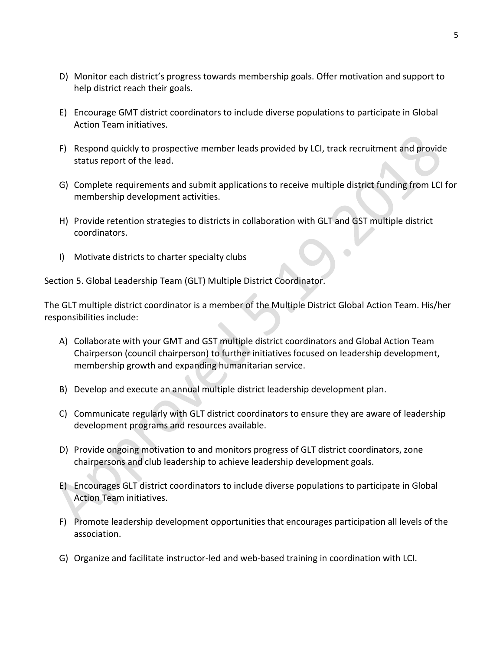- D) Monitor each district's progress towards membership goals. Offer motivation and support to help district reach their goals.
- E) Encourage GMT district coordinators to include diverse populations to participate in Global Action Team initiatives.
- F) Respond quickly to prospective member leads provided by LCI, track recruitment and provide status report of the lead.
- G) Complete requirements and submit applications to receive multiple district funding from LCI for membership development activities.
- H) Provide retention strategies to districts in collaboration with GLT and GST multiple district coordinators.
- I) Motivate districts to charter specialty clubs

Section 5. Global Leadership Team (GLT) Multiple District Coordinator.

The GLT multiple district coordinator is a member of the Multiple District Global Action Team. His/her responsibilities include:

- A) Collaborate with your GMT and GST multiple district coordinators and Global Action Team Chairperson (council chairperson) to further initiatives focused on leadership development, membership growth and expanding humanitarian service.
- B) Develop and execute an annual multiple district leadership development plan.
- C) Communicate regularly with GLT district coordinators to ensure they are aware of leadership development programs and resources available.
- D) Provide ongoing motivation to and monitors progress of GLT district coordinators, zone chairpersons and club leadership to achieve leadership development goals.
- E) Encourages GLT district coordinators to include diverse populations to participate in Global Action Team initiatives.
- F) Promote leadership development opportunities that encourages participation all levels of the association.
- G) Organize and facilitate instructor-led and web-based training in coordination with LCI.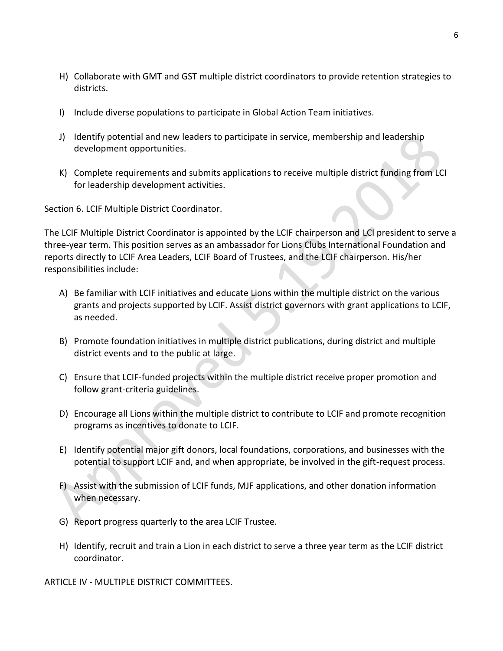- H) Collaborate with GMT and GST multiple district coordinators to provide retention strategies to districts.
- I) Include diverse populations to participate in Global Action Team initiatives.
- J) Identify potential and new leaders to participate in service, membership and leadership development opportunities.
- K) Complete requirements and submits applications to receive multiple district funding from LCI for leadership development activities.

Section 6. LCIF Multiple District Coordinator.

The LCIF Multiple District Coordinator is appointed by the LCIF chairperson and LCI president to serve a three-year term. This position serves as an ambassador for Lions Clubs International Foundation and reports directly to LCIF Area Leaders, LCIF Board of Trustees, and the LCIF chairperson. His/her responsibilities include:

- A) Be familiar with LCIF initiatives and educate Lions within the multiple district on the various grants and projects supported by LCIF. Assist district governors with grant applications to LCIF, as needed.
- B) Promote foundation initiatives in multiple district publications, during district and multiple district events and to the public at large.
- C) Ensure that LCIF-funded projects within the multiple district receive proper promotion and follow grant-criteria guidelines.
- D) Encourage all Lions within the multiple district to contribute to LCIF and promote recognition programs as incentives to donate to LCIF.
- E) Identify potential major gift donors, local foundations, corporations, and businesses with the potential to support LCIF and, and when appropriate, be involved in the gift-request process.
- F) Assist with the submission of LCIF funds, MJF applications, and other donation information when necessary.
- G) Report progress quarterly to the area LCIF Trustee.
- H) Identify, recruit and train a Lion in each district to serve a three year term as the LCIF district coordinator.

ARTICLE IV - MULTIPLE DISTRICT COMMITTEES.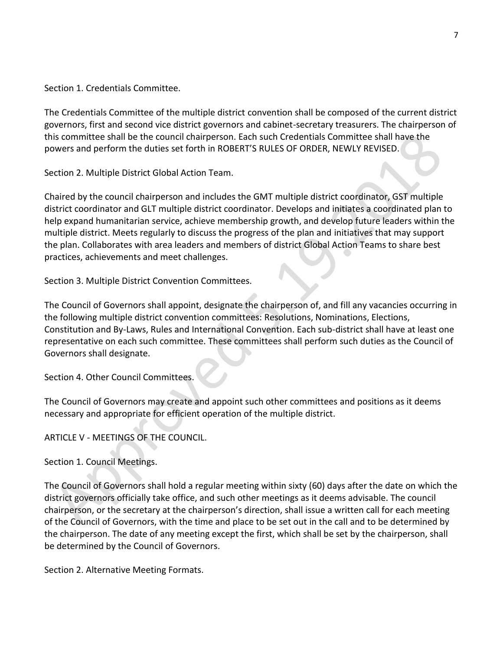Section 1. Credentials Committee.

The Credentials Committee of the multiple district convention shall be composed of the current district governors, first and second vice district governors and cabinet-secretary treasurers. The chairperson of this committee shall be the council chairperson. Each such Credentials Committee shall have the powers and perform the duties set forth in ROBERT'S RULES OF ORDER, NEWLY REVISED.

Section 2. Multiple District Global Action Team.

Chaired by the council chairperson and includes the GMT multiple district coordinator, GST multiple district coordinator and GLT multiple district coordinator. Develops and initiates a coordinated plan to help expand humanitarian service, achieve membership growth, and develop future leaders within the multiple district. Meets regularly to discuss the progress of the plan and initiatives that may support the plan. Collaborates with area leaders and members of district Global Action Teams to share best practices, achievements and meet challenges.

Section 3. Multiple District Convention Committees.

The Council of Governors shall appoint, designate the chairperson of, and fill any vacancies occurring in the following multiple district convention committees: Resolutions, Nominations, Elections, Constitution and By-Laws, Rules and International Convention. Each sub-district shall have at least one representative on each such committee. These committees shall perform such duties as the Council of Governors shall designate.

Section 4. Other Council Committees.

The Council of Governors may create and appoint such other committees and positions as it deems necessary and appropriate for efficient operation of the multiple district.

ARTICLE V - MEETINGS OF THE COUNCIL.

Section 1. Council Meetings.

The Council of Governors shall hold a regular meeting within sixty (60) days after the date on which the district governors officially take office, and such other meetings as it deems advisable. The council chairperson, or the secretary at the chairperson's direction, shall issue a written call for each meeting of the Council of Governors, with the time and place to be set out in the call and to be determined by the chairperson. The date of any meeting except the first, which shall be set by the chairperson, shall be determined by the Council of Governors.

Section 2. Alternative Meeting Formats.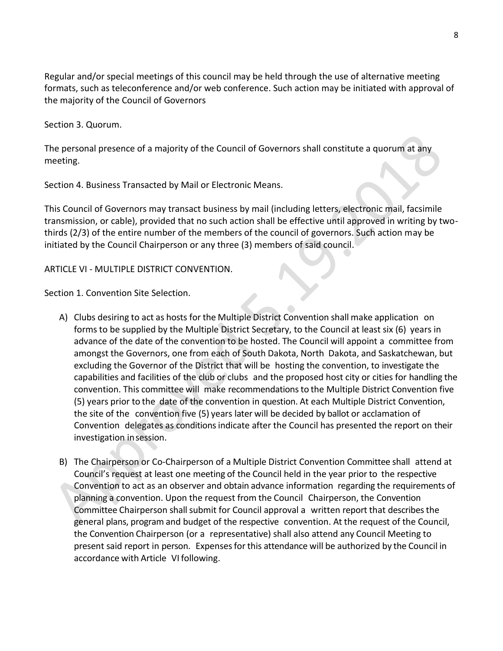Regular and/or special meetings of this council may be held through the use of alternative meeting formats, such as teleconference and/or web conference. Such action may be initiated with approval of the majority of the Council of Governors

Section 3. Quorum.

The personal presence of a majority of the Council of Governors shall constitute a quorum at any meeting.

Section 4. Business Transacted by Mail or Electronic Means.

This Council of Governors may transact business by mail (including letters, electronic mail, facsimile transmission, or cable), provided that no such action shall be effective until approved in writing by twothirds (2/3) of the entire number of the members of the council of governors. Such action may be initiated by the Council Chairperson or any three (3) members of said council.

## ARTICLE VI - MULTIPLE DISTRICT CONVENTION.

Section 1. Convention Site Selection.

- A) Clubs desiring to act as hosts for the Multiple District Convention shall make application on forms to be supplied by the Multiple District Secretary, to the Council at least six (6) years in advance of the date of the convention to be hosted. The Council will appoint a committee from amongst the Governors, one from each of South Dakota, North Dakota, and Saskatchewan, but excluding the Governor of the District that will be hosting the convention, to investigate the capabilities and facilities of the club or clubs and the proposed host city or cities for handling the convention. This committee will make recommendationsto the Multiple District Convention five (5) years prior to the date of the convention in question. At each Multiple District Convention, the site of the convention five (5) years later will be decided by ballot or acclamation of Convention delegates as conditions indicate after the Council has presented the report on their investigation insession.
- B) The Chairperson or Co-Chairperson of a Multiple District Convention Committee shall attend at Council's request at least one meeting of the Council held in the year prior to the respective Convention to act as an observer and obtain advance information regarding the requirements of planning a convention. Upon the request from the Council Chairperson, the Convention Committee Chairperson shall submit for Council approval a written report that describes the general plans, program and budget of the respective convention. At the request of the Council, the Convention Chairperson (or a representative) shall also attend any Council Meeting to present said report in person. Expensesforthis attendance will be authorized by the Council in accordance with Article VI following.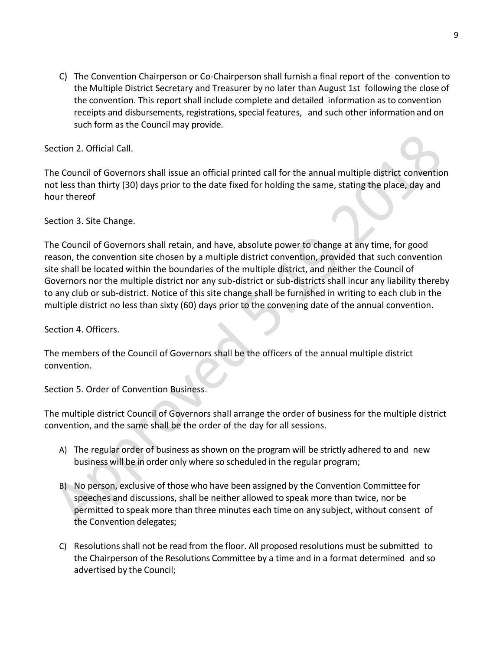C) The Convention Chairperson or Co-Chairperson shall furnish a final report of the convention to the Multiple District Secretary and Treasurer by no later than August 1st following the close of the convention. This report shall include complete and detailed information asto convention receipts and disbursements, registrations, special features, and such other information and on such form as the Council may provide.

Section 2. Official Call.

The Council of Governors shall issue an official printed call for the annual multiple district convention not less than thirty (30) days prior to the date fixed for holding the same, stating the place, day and hour thereof

Section 3. Site Change.

The Council of Governors shall retain, and have, absolute power to change at any time, for good reason, the convention site chosen by a multiple district convention, provided that such convention site shall be located within the boundaries of the multiple district, and neither the Council of Governors nor the multiple district nor any sub-district or sub-districts shall incur any liability thereby to any club or sub-district. Notice of this site change shall be furnished in writing to each club in the multiple district no less than sixty (60) days prior to the convening date of the annual convention.

Section 4. Officers.

The members of the Council of Governors shall be the officers of the annual multiple district convention.

Section 5. Order of Convention Business.

The multiple district Council of Governors shall arrange the order of business for the multiple district convention, and the same shall be the order of the day for all sessions.

- A) The regular order of business as shown on the program will be strictly adhered to and new business will be in order only where so scheduled in the regular program;
- B) No person, exclusive of those who have been assigned by the Convention Committee for speeches and discussions, shall be neither allowed to speak more than twice, nor be permitted to speak more than three minutes each time on any subject, without consent of the Convention delegates;
- C) Resolutions shall not be read from the floor. All proposed resolutions must be submitted to the Chairperson of the Resolutions Committee by a time and in a format determined and so advertised by the Council;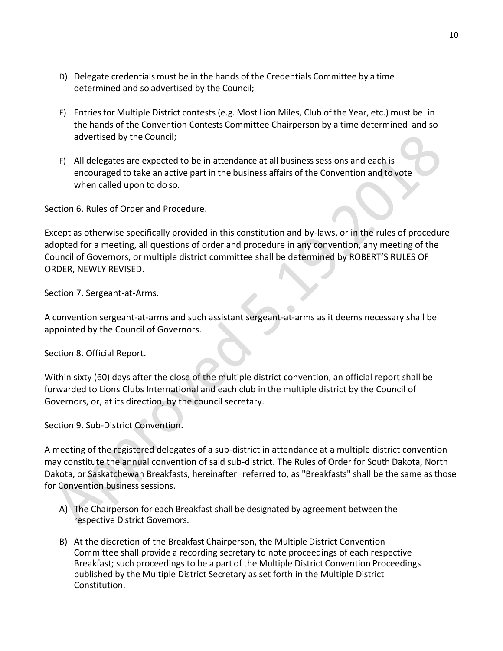- D) Delegate credentials must be in the hands of the Credentials Committee by a time determined and so advertised by the Council;
- E) Entriesfor Multiple District contests (e.g. Most Lion Miles, Club of the Year, etc.) must be in the hands of the Convention Contests Committee Chairperson by a time determined and so advertised by the Council;
- F) All delegates are expected to be in attendance at all business sessions and each is encouraged to take an active part in the business affairs of the Convention and to vote when called upon to do so.

Section 6. Rules of Order and Procedure.

Except as otherwise specifically provided in this constitution and by-laws, or in the rules of procedure adopted for a meeting, all questions of order and procedure in any convention, any meeting of the Council of Governors, or multiple district committee shall be determined by ROBERT'S RULES OF ORDER, NEWLY REVISED.

Section 7. Sergeant-at-Arms.

A convention sergeant-at-arms and such assistant sergeant-at-arms as it deems necessary shall be appointed by the Council of Governors.

Section 8. Official Report.

Within sixty (60) days after the close of the multiple district convention, an official report shall be forwarded to Lions Clubs International and each club in the multiple district by the Council of Governors, or, at its direction, by the council secretary.

Section 9. Sub-District Convention.

A meeting of the registered delegates of a sub-district in attendance at a multiple district convention may constitute the annual convention of said sub-district. The Rules of Order for South Dakota, North Dakota, or Saskatchewan Breakfasts, hereinafter referred to, as "Breakfasts" shall be the same as those for Convention business sessions.

- A) The Chairperson for each Breakfast shall be designated by agreement between the respective District Governors.
- B) At the discretion of the Breakfast Chairperson, the Multiple District Convention Committee shall provide a recording secretary to note proceedings of each respective Breakfast; such proceedings to be a part of the Multiple District Convention Proceedings published by the Multiple District Secretary as set forth in the Multiple District Constitution.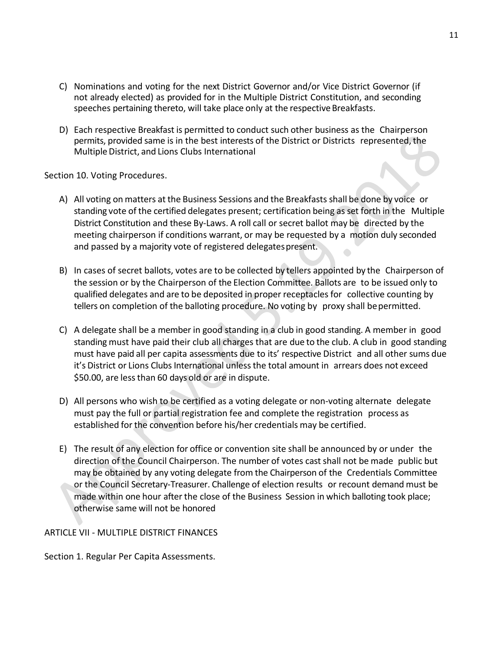- C) Nominations and voting for the next District Governor and/or Vice District Governor (if not already elected) as provided for in the Multiple District Constitution, and seconding speeches pertaining thereto, will take place only at the respective Breakfasts.
- D) Each respective Breakfast is permitted to conduct such other business as the Chairperson permits, provided same is in the best interests of the District or Districts represented, the Multiple District, and Lions Clubs International

Section 10. Voting Procedures.

- A) All voting on matters at the Business Sessions and the Breakfasts shall be done by voice or standing vote of the certified delegates present; certification being as set forth in the Multiple District Constitution and these By-Laws. A roll call or secret ballot may be directed by the meeting chairperson if conditions warrant, or may be requested by a motion duly seconded and passed by a majority vote of registered delegates present.
- B) In cases of secret ballots, votes are to be collected by tellers appointed by the Chairperson of the session or by the Chairperson of the Election Committee. Ballots are to be issued only to qualified delegates and are to be deposited in proper receptacles for collective counting by tellers on completion of the balloting procedure. No voting by proxy shall bepermitted.
- C) A delegate shall be a member in good standing in a club in good standing. A member in good standing must have paid their club all charges that are due to the club. A club in good standing must have paid all per capita assessments due to its' respective District and all other sums due it's District or Lions Clubs International unless the total amount in arrears does not exceed \$50.00, are lessthan 60 days old or are in dispute.
- D) All persons who wish to be certified as a voting delegate or non-voting alternate delegate must pay the full or partial registration fee and complete the registration process as established for the convention before his/her credentials may be certified.
- E) The result of any election for office or convention site shall be announced by or under the direction of the Council Chairperson. The number of votes cast shall not be made public but may be obtained by any voting delegate from the Chairperson of the Credentials Committee or the Council Secretary-Treasurer. Challenge of election results or recount demand must be made within one hour after the close of the Business Session in which balloting took place; otherwise same will not be honored

## ARTICLE VII - MULTIPLE DISTRICT FINANCES

Section 1. Regular Per Capita Assessments.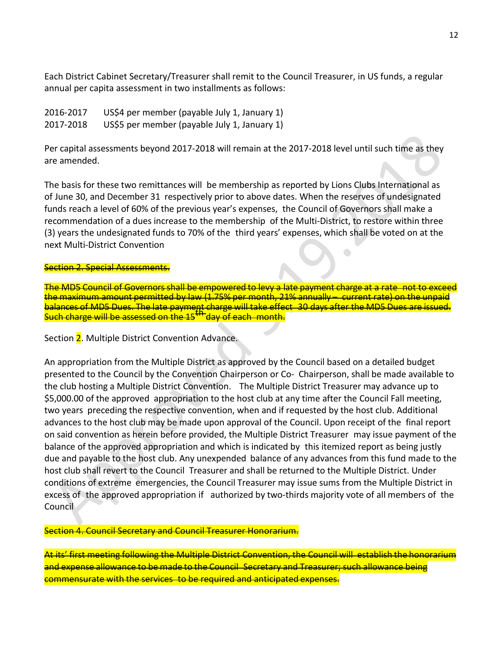Each District Cabinet Secretary/Treasurer shall remit to the Council Treasurer, in US funds, a regular annual per capita assessment in two installments as follows:

2016-2017 US\$4 per member (payable July 1, January 1) 2017-2018 US\$5 per member (payable July 1, January 1)

Per capital assessments beyond 2017-2018 will remain at the 2017-2018 level until such time as they are amended.

The basis for these two remittances will be membership as reported by Lions Clubs International as of June 30, and December 31 respectively prior to above dates. When the reserves of undesignated funds reach a level of 60% of the previous year's expenses, the Council of Governors shall make a recommendation of a dues increase to the membership of the Multi-District, to restore within three (3) years the undesignated funds to 70% of the third years' expenses, which shall be voted on at the next Multi-District Convention

#### Section 2. Special Assessments.

The MD5 Council of Governorsshall be empowered to levy a late payment charge at a rate not to exceed the maximum amount permitted by law (1.75% per month, 21% annually – current rate) on the unpaid balances of MD5 Dues. The late payment charge will take effect 30 days after the MD5 Dues are issued. Such charge will be assessed on the 15<sup>th</sup> day of each month.

Section 2. Multiple District Convention Advance.

An appropriation from the Multiple District as approved by the Council based on a detailed budget presented to the Council by the Convention Chairperson or Co- Chairperson, shall be made available to the club hosting a Multiple District Convention. The Multiple District Treasurer may advance up to \$5,000.00 of the approved appropriation to the host club at any time after the Council Fall meeting, two years preceding the respective convention, when and if requested by the host club. Additional advances to the host club may be made upon approval of the Council. Upon receipt of the final report on said convention as herein before provided, the Multiple District Treasurer may issue payment of the balance of the approved appropriation and which is indicated by this itemized report as being justly due and payable to the host club. Any unexpended balance of any advances from this fund made to the host club shall revert to the Council Treasurer and shall be returned to the Multiple District. Under conditions of extreme emergencies, the Council Treasurer may issue sums from the Multiple District in excess of the approved appropriation if authorized by two-thirds majority vote of all members of the Council

Section 4. Council Secretary and Council Treasurer Honorarium.

At its' first meeting following the Multiple District Convention, the Council will establish the honorarium and expense allowance to be made to the Council Secretary and Treasurer; such allowance being commensurate with the services to be required and anticipated expenses.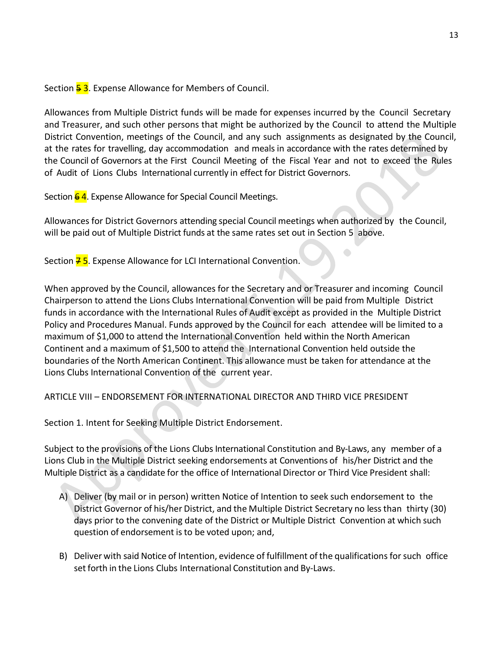Section 53. Expense Allowance for Members of Council.

Allowances from Multiple District funds will be made for expenses incurred by the Council Secretary and Treasurer, and such other persons that might be authorized by the Council to attend the Multiple District Convention, meetings of the Council, and any such assignments as designated by the Council, at the rates for travelling, day accommodation and meals in accordance with the rates determined by the Council of Governors at the First Council Meeting of the Fiscal Year and not to exceed the Rules of Audit of Lions Clubs International currently in effect for District Governors.

Section 64. Expense Allowance for Special Council Meetings.

Allowances for District Governors attending special Council meetings when authorized by the Council, will be paid out of Multiple District funds at the same rates set out in Section 5 above.

Section  $\frac{7}{5}$ . Expense Allowance for LCI International Convention.

When approved by the Council, allowances for the Secretary and or Treasurer and incoming Council Chairperson to attend the Lions Clubs International Convention will be paid from Multiple District funds in accordance with the International Rules of Audit except as provided in the Multiple District Policy and Procedures Manual. Funds approved by the Council for each attendee will be limited to a maximum of \$1,000 to attend the International Convention held within the North American Continent and a maximum of \$1,500 to attend the International Convention held outside the boundaries of the North American Continent. This allowance must be taken for attendance at the Lions Clubs International Convention of the current year.

ARTICLE VIII – ENDORSEMENT FOR INTERNATIONAL DIRECTOR AND THIRD VICE PRESIDENT

Section 1. Intent for Seeking Multiple District Endorsement.

Subject to the provisions of the Lions Clubs International Constitution and By-Laws, any member of a Lions Club in the Multiple District seeking endorsements at Conventions of his/her District and the Multiple District as a candidate for the office of International Director or Third Vice President shall:

- A) Deliver (by mail or in person) written Notice of Intention to seek such endorsement to the District Governor of his/her District, and the Multiple District Secretary no less than thirty (30) days prior to the convening date of the District or Multiple District Convention at which such question of endorsement is to be voted upon; and,
- B) Deliver with said Notice of Intention, evidence of fulfillment of the qualifications for such office set forth in the Lions Clubs International Constitution and By-Laws.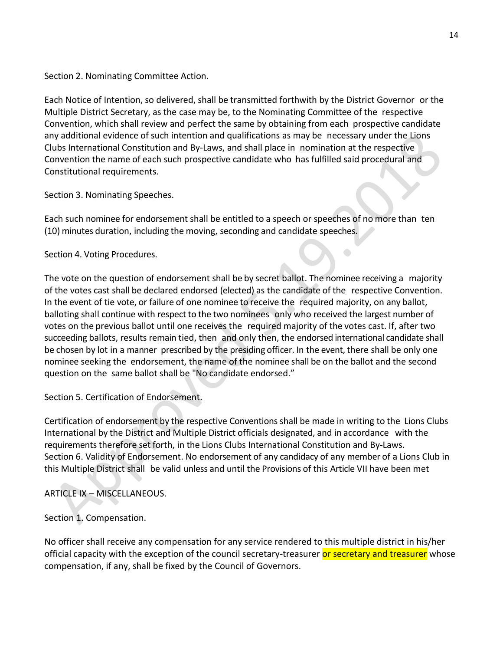Section 2. Nominating Committee Action.

Each Notice of Intention, so delivered, shall be transmitted forthwith by the District Governor or the Multiple District Secretary, as the case may be, to the Nominating Committee of the respective Convention, which shall review and perfect the same by obtaining from each prospective candidate any additional evidence of such intention and qualifications as may be necessary under the Lions Clubs International Constitution and By-Laws, and shall place in nomination at the respective Convention the name of each such prospective candidate who has fulfilled said procedural and Constitutional requirements.

Section 3. Nominating Speeches.

Each such nominee for endorsement shall be entitled to a speech or speeches of no more than ten (10) minutes duration, including the moving, seconding and candidate speeches.

 $\bullet$ 

Section 4. Voting Procedures.

The vote on the question of endorsement shall be by secret ballot. The nominee receiving a majority of the votes cast shall be declared endorsed (elected) as the candidate of the respective Convention. In the event of tie vote, or failure of one nominee to receive the required majority, on any ballot, balloting shall continue with respect to the two nominees only who received the largest number of votes on the previous ballot until one receives the required majority of the votes cast. If, after two succeeding ballots, results remain tied, then and only then, the endorsed international candidate shall be chosen by lot in a manner prescribed by the presiding officer. In the event, there shall be only one nominee seeking the endorsement, the name of the nominee shall be on the ballot and the second question on the same ballot shall be "No candidate endorsed."

Section 5. Certification of Endorsement.

Certification of endorsement by the respective Conventionsshall be made in writing to the Lions Clubs International by the District and Multiple District officials designated, and in accordance with the requirements therefore set forth, in the Lions Clubs International Constitution and By-Laws. Section 6. Validity of Endorsement. No endorsement of any candidacy of any member of a Lions Club in this Multiple District shall be valid unless and until the Provisions of this Article VII have been met

ARTICLE IX – MISCELLANEOUS.

Section 1. Compensation.

No officer shall receive any compensation for any service rendered to this multiple district in his/her official capacity with the exception of the council secretary-treasurer or secretary and treasurer whose compensation, if any, shall be fixed by the Council of Governors.